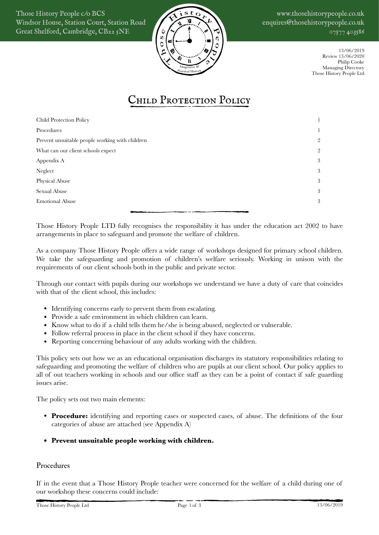Those History People c/o BCS Windsor House, Station Court, Station Road Great Shelford, Cambridge, CB22 5NE



www.thosehistorypeople.co.uk enquires@thosehistorypeople.co.uk 07577 403586

> 13/06/2019 Review 13/06/2020 Philip Cooke Managing Directory Those History People Ltd

# <span id="page-0-0"></span>CHILD PROTECTION POLICY

| Child Protection Policy                         |   |
|-------------------------------------------------|---|
| Procedures                                      |   |
| Prevent unsuitable people working with children | 2 |
| What can our client schools expect              | 2 |
| Appendix A                                      | 3 |
| Neglect                                         | 3 |
| Physical Abuse                                  | 3 |
| Sexual Abuse                                    | 3 |
| <b>Emotional Abuse</b>                          | 3 |
|                                                 |   |

Those History People LTD fully recognises the responsibility it has under the education act 2002 to have arrangements in place to safeguard and promote the welfare of children.

As a company Those History People offers a wide range of workshops designed for primary school children. We take the safeguarding and promotion of children's welfare seriously. Working in unison with the requirements of our client schools both in the public and private sector.

Through our contact with pupils during our workshops we understand we have a duty of care that coincides with that of the client school, this includes:

- Identifying concerns early to prevent them from escalating.
- Provide a safe environment in which children can learn.
- Know what to do if a child tells them he/she is being abused, neglected or vulnerable.
- Follow referral process in place in the client school if they have concerns.
- Reporting concerning behaviour of any adults working with the children.

This policy sets out how we as an educational organisation discharges its statutory responsibilities relating to safeguarding and promoting the welfare of children who are pupils at our client school. Our policy applies to all of out teachers working in schools and our office staff as they can be a point of contact if safe guarding issues arise.

The policy sets out two main elements:

- **Procedure:** identifying and reporting cases or suspected cases, of abuse. The definitions of the four categories of abuse are attached (see Appendix A)
- **• Prevent unsuitable people working with children.**

## <span id="page-0-1"></span>Procedures

If in the event that a Those History People teacher were concerned for the welfare of a child during one of our workshop these concerns could include: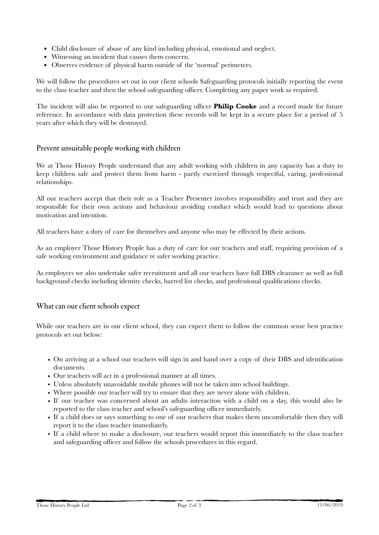- Child disclosure of abuse of any kind including physical, emotional and neglect.
- Witnessing an incident that causes them concern.
- Observes evidence of physical harm outside of the 'normal' perimeters.

We will follow the procedures set out in our client schools Safeguarding protocols initially reporting the event to the class teacher and then the school safeguarding officer. Completing any paper work as required.

The incident will also be reported to our safeguarding officer **Philip Cooke** and a record made for future reference. In accordance with data protection these records will be kept in a secure place for a period of 5 years after which they will be destroyed.

## <span id="page-1-0"></span>Prevent unsuitable people working with children

We at Those History People understand that any adult working with children in any capacity has a duty to keep children safe and protect them from harm - partly exercised through respectful, caring, professional relationships.

All our teachers accept that their role as a Teacher Presenter involves responsibility and trust and they are responsible for their own actions and behaviour avoiding conduct which would lead to questions about motivation and intention.

All teachers have a duty of care for themselves and anyone who may be effected by their actions.

As an employer Those History People has a duty of care for our teachers and staff, requiring provision of a safe working environment and guidance re safer working practice.

As employers we also undertake safer recruitment and all our teachers have full DBS clearance as well as full background checks including identity checks, barred list checks, and professional qualifications checks.

#### <span id="page-1-1"></span>What can our client schools expect

While our teachers are in our client school, they can expect them to follow the common sense best practice protocols set out below:

- On arriving at a school our teachers will sign in and hand over a copy of their DBS and identification documents.
- Our teachers will act in a professional manner at all times.
- Unless absolutely unavoidable mobile phones will not be taken into school buildings.
- Where possible our teacher will try to ensure that they are never alone with children.
- If our teacher was concerned about an adults interaction with a child on a day, this would also be reported to the class teacher and school's safeguarding officer immediately.
- If a child does or says something to one of our teachers that makes them uncomfortable then they will report it to the class teacher immediately.
- If a child where to make a disclosure, our teachers would report this immediately to the class teacher and safeguarding officer and follow the schools procedures in this regard.